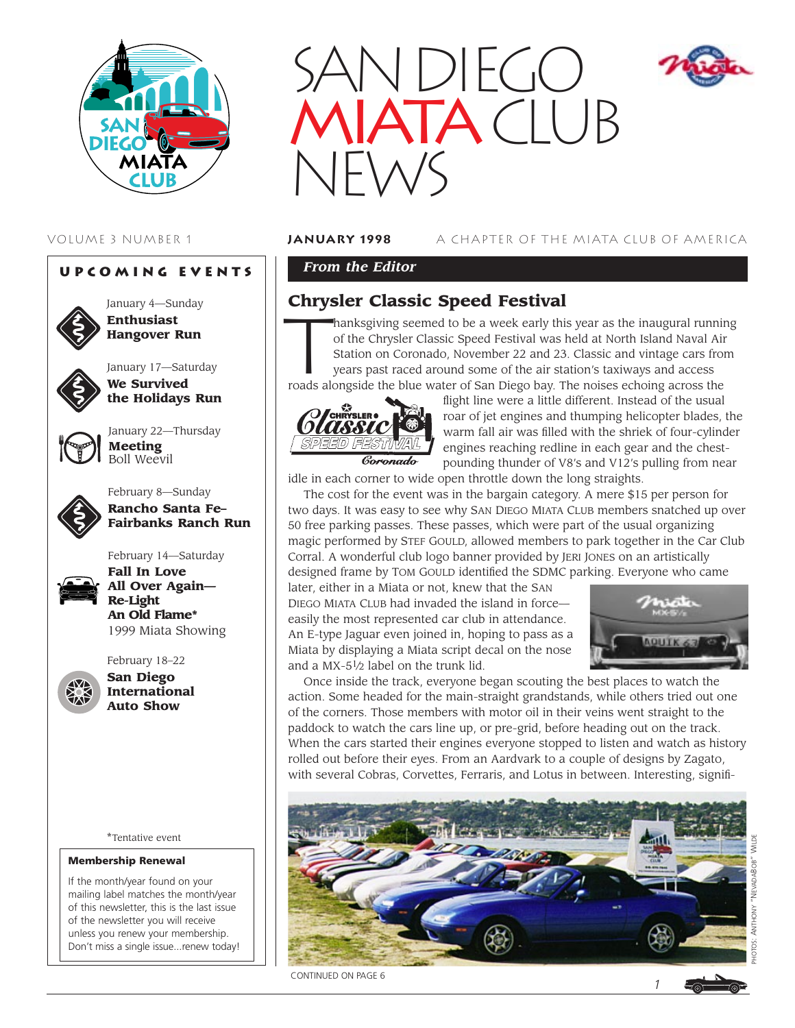

## **Upcoming Events**



January 4—Sunday **Enthusiast Hangover Run**



January 17—Saturday **We Survived the Holidays Run**



January 22—Thursday **Meeting** Boll Weevil



February 8—Sunday **Rancho Santa Fe– Fairbanks Ranch Run**

February 14—Saturday



**Fall In Love All Over Again— Re-Light An Old Flame\*** 1999 Miata Showing



**San Diego International Auto Show**

\*Tentative event

#### Membership Renewal

If the month/year found on your mailing label matches the month/year of this newsletter, this is the last issue of the newsletter you will receive unless you renew your membership. Don't miss a single issue...renew today!



## VOLUME 3 NUMBER 1 **january 1998** A CHAPTER OF THE MIATA CLUB OF AMERICA

## *From the Editor*

# **Chrysler Classic Speed Festival**

**Chrysler Classic Speed Festival**<br>**Thanksgiving seemed to be a week early this year as the inaugural running of the Chrysler Classic Speed Festival was held at North Island Naval Air Station on Coronado, November 22 and 23** of the Chrysler Classic Speed Festival was held at North Island Naval Air Station on Coronado, November 22 and 23. Classic and vintage cars from years past raced around some of the air station's taxiways and access

roads alongside the blue water of San Diego bay. The noises echoing across the



flight line were a little different. Instead of the usual roar of jet engines and thumping helicopter blades, the warm fall air was filled with the shriek of four-cylinder engines reaching redline in each gear and the chestpounding thunder of V8's and V12's pulling from near

idle in each corner to wide open throttle down the long straights.

The cost for the event was in the bargain category. A mere \$15 per person for two days. It was easy to see why SAN DIEGO MIATA CLUB members snatched up over 50 free parking passes. These passes, which were part of the usual organizing magic performed by STEF GOULD, allowed members to park together in the Car Club Corral. A wonderful club logo banner provided by JERI JONES on an artistically designed frame by TOM GOULD identified the SDMC parking. Everyone who came

later, either in a Miata or not, knew that the SAN DIEGO MIATA CLUB had invaded the island in force easily the most represented car club in attendance. An E-type Jaguar even joined in, hoping to pass as a Miata by displaying a Miata script decal on the nose and a MX-51⁄2 label on the trunk lid.



Once inside the track, everyone began scouting the best places to watch the action. Some headed for the main-straight grandstands, while others tried out one of the corners. Those members with motor oil in their veins went straight to the paddock to watch the cars line up, or pre-grid, before heading out on the track. When the cars started their engines everyone stopped to listen and watch as history rolled out before their eyes. From an Aardvark to a couple of designs by Zagato, with several Cobras, Corvettes, Ferraris, and Lotus in between. Interesting, signifi-

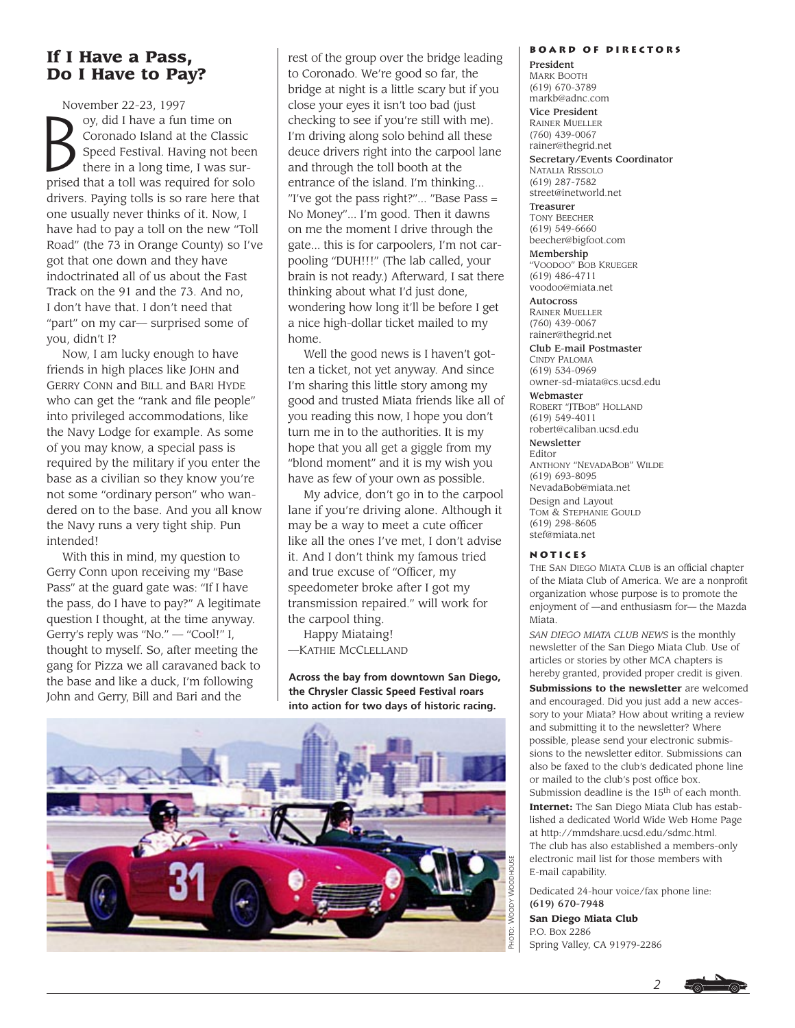# **If I Have a Pass, Do I Have to Pay?**

November 22-23, 1997 November 22-23, 1997<br>
oy, did I have a fun time on<br>
Coronado Island at the Clas<br>
Speed Festival. Having not<br>
there in a long time I was s Coronado Island at the Classic Speed Festival. Having not been there in a long time, I was surprised that a toll was required for solo drivers. Paying tolls is so rare here that one usually never thinks of it. Now, I have had to pay a toll on the new "Toll Road" (the 73 in Orange County) so I've got that one down and they have indoctrinated all of us about the Fast Track on the 91 and the 73. And no, I don't have that. I don't need that "part" on my car— surprised some of you, didn't I?

Now, I am lucky enough to have friends in high places like JOHN and GERRY CONN and BILL and BARI HYDE who can get the "rank and file people" into privileged accommodations, like the Navy Lodge for example. As some of you may know, a special pass is required by the military if you enter the base as a civilian so they know you're not some "ordinary person" who wandered on to the base. And you all know the Navy runs a very tight ship. Pun intended!

With this in mind, my question to Gerry Conn upon receiving my "Base Pass" at the guard gate was: "If I have the pass, do I have to pay?" A legitimate question I thought, at the time anyway. Gerry's reply was "No." — "Cool!" I, thought to myself. So, after meeting the gang for Pizza we all caravaned back to the base and like a duck, I'm following John and Gerry, Bill and Bari and the

rest of the group over the bridge leading to Coronado. We're good so far, the bridge at night is a little scary but if you close your eyes it isn't too bad (just checking to see if you're still with me). I'm driving along solo behind all these deuce drivers right into the carpool lane and through the toll booth at the entrance of the island. I'm thinking... "I've got the pass right?"... "Base Pass = No Money"... I'm good. Then it dawns on me the moment I drive through the gate... this is for carpoolers, I'm not carpooling "DUH!!!" (The lab called, your brain is not ready.) Afterward, I sat there thinking about what I'd just done, wondering how long it'll be before I get a nice high-dollar ticket mailed to my home.

Well the good news is I haven't gotten a ticket, not yet anyway. And since I'm sharing this little story among my good and trusted Miata friends like all of you reading this now, I hope you don't turn me in to the authorities. It is my hope that you all get a giggle from my "blond moment" and it is my wish you have as few of your own as possible.

My advice, don't go in to the carpool lane if you're driving alone. Although it may be a way to meet a cute officer like all the ones I've met, I don't advise it. And I don't think my famous tried and true excuse of "Officer, my speedometer broke after I got my transmission repaired." will work for the carpool thing.

Happy Miataing! —KATHIE MCCLELLAND

**Across the bay from downtown San Diego, the Chrysler Classic Speed Festival roars into action for two days of historic racing.**



#### **Board of Directors**

President MARK BOOTH (619) 670-3789 markb@adnc.com

Vice President RAINER MUELLER (760) 439-0067 rainer@thegrid.net

Secretary/Events Coordinator NATALIA RISSOLO (619) 287-7582 street@inetworld.net

Treasurer TONY BEECHER (619) 549-6660 beecher@bigfoot.com

Membership "VOODOO" BOB KRUEGER (619) 486-4711 voodoo@miata.net

Autocross RAINER MUELLER (760) 439-0067 rainer@thegrid.net

Club E-mail Postmaster CINDY PALOMA (619) 534-0969 owner-sd-miata@cs.ucsd.edu

Webmaster ROBERT "JTBOB" HOLLAND (619) 549-4011 robert@caliban.ucsd.edu

Newsletter Editor ANTHONY "NEVADABOB" WILDE (619) 693-8095 NevadaBob@miata.net Design and Layout TOM & STEPHANIE GOULD (619) 298-8605 stef@miata.net

#### **Notices**

THE SAN DIEGO MIATA CLUB is an official chapter of the Miata Club of America. We are a nonprofit organization whose purpose is to promote the enjoyment of —and enthusiasm for— the Mazda Miata.

*SAN DIEGO MIATA CLUB NEWS* is the monthly newsletter of the San Diego Miata Club. Use of articles or stories by other MCA chapters is hereby granted, provided proper credit is given.

**Submissions to the newsletter** are welcomed and encouraged. Did you just add a new accessory to your Miata? How about writing a review and submitting it to the newsletter? Where possible, please send your electronic submissions to the newsletter editor. Submissions can also be faxed to the club's dedicated phone line or mailed to the club's post office box. Submission deadline is the 15<sup>th</sup> of each month.

**Internet:** The San Diego Miata Club has established a dedicated World Wide Web Home Page at http://mmdshare.ucsd.edu/sdmc.html. The club has also established a members-only electronic mail list for those members with E-mail capability.

*2*

Dedicated 24-hour voice/fax phone line: (619) 670-7948

**San Diego Miata Club** P.O. Box 2286 Spring Valley, CA 91979-2286

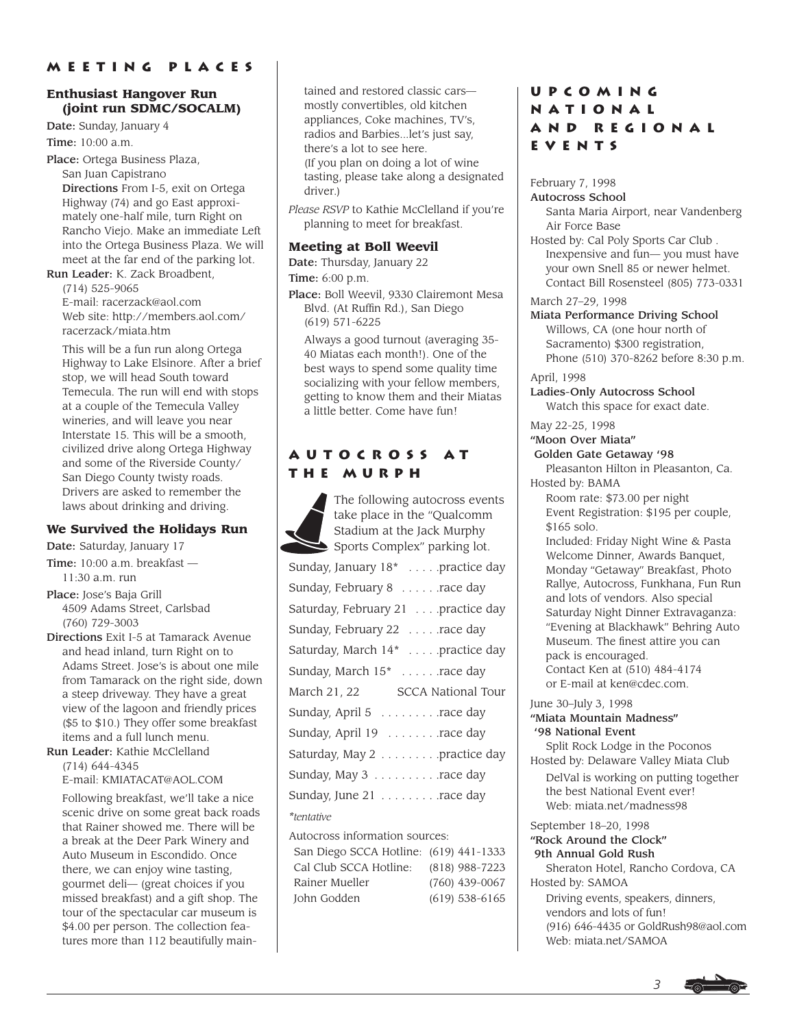## **Enthusiast Hangover Run (joint run SDMC/SOCALM)**

Date: Sunday, January 4

Time: 10:00 a.m.

Place: Ortega Business Plaza, San Juan Capistrano Directions From I-5, exit on Ortega Highway (74) and go East approximately one-half mile, turn Right on Rancho Viejo. Make an immediate Left into the Ortega Business Plaza. We will meet at the far end of the parking lot.

Run Leader: K. Zack Broadbent, (714) 525-9065 E-mail: racerzack@aol.com Web site: http://members.aol.com/ racerzack/miata.htm

This will be a fun run along Ortega Highway to Lake Elsinore. After a brief stop, we will head South toward Temecula. The run will end with stops at a couple of the Temecula Valley wineries, and will leave you near Interstate 15. This will be a smooth, civilized drive along Ortega Highway and some of the Riverside County/ San Diego County twisty roads. Drivers are asked to remember the laws about drinking and driving.

## **We Survived the Holidays Run**

Date: Saturday, January 17

Time: 10:00 a.m. breakfast —  $11:30$  a.m. run

Place: Jose's Baja Grill 4509 Adams Street, Carlsbad (760) 729-3003

Directions Exit I-5 at Tamarack Avenue and head inland, turn Right on to Adams Street. Jose's is about one mile from Tamarack on the right side, down a steep driveway. They have a great view of the lagoon and friendly prices (\$5 to \$10.) They offer some breakfast items and a full lunch menu.

Run Leader: Kathie McClelland (714) 644-4345

E-mail: KMIATACAT@AOL.COM

Following breakfast, we'll take a nice scenic drive on some great back roads that Rainer showed me. There will be a break at the Deer Park Winery and Auto Museum in Escondido. Once there, we can enjoy wine tasting, gourmet deli— (great choices if you missed breakfast) and a gift shop. The tour of the spectacular car museum is \$4.00 per person. The collection features more than 112 beautifully maintained and restored classic cars mostly convertibles, old kitchen appliances, Coke machines, TV's, radios and Barbies...let's just say, there's a lot to see here. (If you plan on doing a lot of wine tasting, please take along a designated driver.)

*Please RSVP* to Kathie McClelland if you're planning to meet for breakfast.

## **Meeting at Boll Weevil**

Date: Thursday, January 22

Time: 6:00 p.m.

Place: Boll Weevil, 9330 Clairemont Mesa Blvd. (At Ruffin Rd.), San Diego (619) 571-6225

Always a good turnout (averaging 35- 40 Miatas each month!). One of the best ways to spend some quality time socializing with your fellow members, getting to know them and their Miatas a little better. Come have fun!

# **Autocross atthe Murph**

The following autocross events take place in the "Qualcomm Stadium at the Jack Murphy Sports Complex" parking lot.

| Sunday, January 18 <sup>*</sup> practice day |
|----------------------------------------------|
| Sunday, February 8 race day                  |
| Saturday, February 21 practice day           |
| Sunday, February 22 race day                 |
| Saturday, March 14* practice day             |
| Sunday, March 15 <sup>*</sup> race day       |
| March 21, 22 SCCA National Tour              |
| Sunday, April 5 race day                     |
| Sunday, April 19 race day                    |
| Saturday, May 2 practice day                 |
| Sunday, May 3 race day                       |
| Sunday, June 21 race day                     |
| <i>*tentative</i>                            |

Autocross information sources: San Diego SCCA Hotline: (619) 441-1333 Cal Club SCCA Hotline: (818) 988-7223 Rainer Mueller (760) 439-0067 John Godden (619) 538-6165

# **Upcoming National and RegionalEvents**

February 7, 1998 Autocross School

Santa Maria Airport, near Vandenberg Air Force Base

Hosted by: Cal Poly Sports Car Club . Inexpensive and fun— you must have your own Snell 85 or newer helmet. Contact Bill Rosensteel (805) 773-0331

March 27–29, 1998

Miata Performance Driving School Willows, CA (one hour north of Sacramento) \$300 registration, Phone (510) 370-8262 before 8:30 p.m.

April, 1998

Ladies-Only Autocross School Watch this space for exact date.

May 22-25, 1998

## "Moon Over Miata"

Golden Gate Getaway '98 Pleasanton Hilton in Pleasanton, Ca. Hosted by: BAMA

Room rate: \$73.00 per night Event Registration: \$195 per couple, \$165 solo.

Included: Friday Night Wine & Pasta Welcome Dinner, Awards Banquet, Monday "Getaway" Breakfast, Photo Rallye, Autocross, Funkhana, Fun Run and lots of vendors. Also special Saturday Night Dinner Extravaganza: "Evening at Blackhawk" Behring Auto Museum. The finest attire you can pack is encouraged. Contact Ken at (510) 484-4174 or E-mail at ken@cdec.com.

### June 30–July 3, 1998 "Miata Mountain Madness" '98 National Event

Split Rock Lodge in the Poconos Hosted by: Delaware Valley Miata Club

DelVal is working on putting together the best National Event ever! Web: miata.net/madness98

September 18–20, 1998 "Rock Around the Clock"

Web: miata.net/SAMOA

9th Annual Gold Rush Sheraton Hotel, Rancho Cordova, CA Hosted by: SAMOA Driving events, speakers, dinners, vendors and lots of fun! (916) 646-4435 or GoldRush98@aol.com

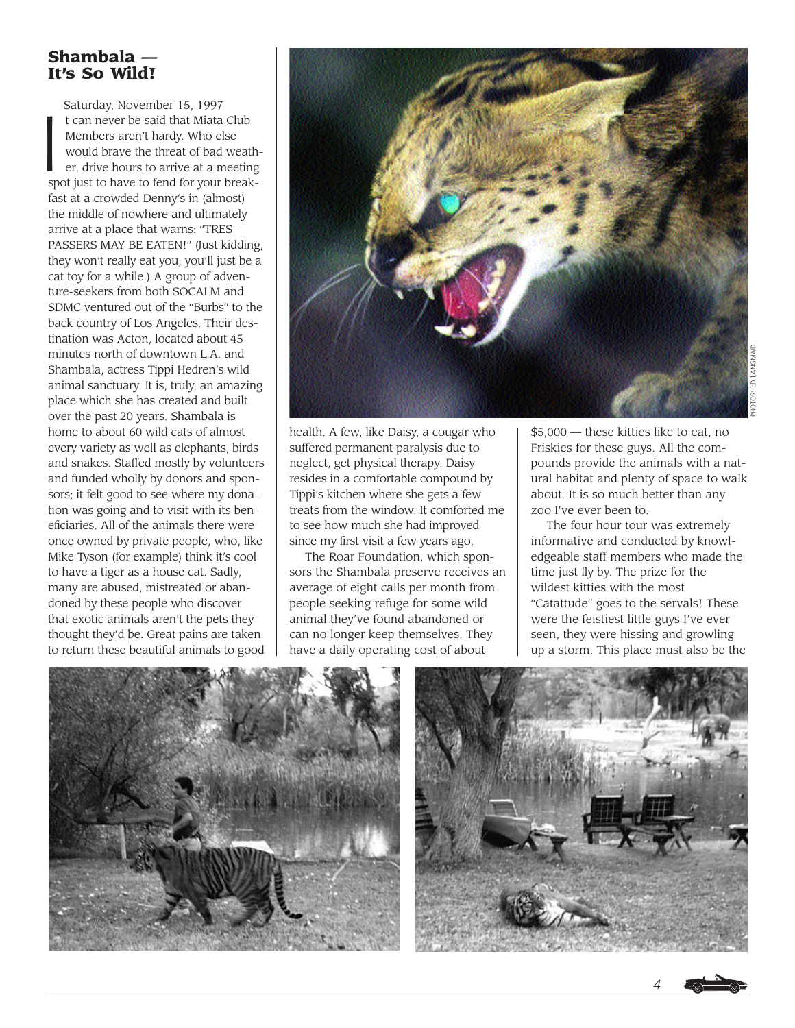# **Shambala — It's So Wild!**

Saturday, November 15, 1997  $\int_0^1$ t can never be said that Miata Club Members aren't hardy. Who else would brave the threat of bad weather, drive hours to arrive at a meeting spot just to have to fend for your breakfast at a crowded Denny's in (almost) the middle of nowhere and ultimately arrive at a place that warns: "TRES-PASSERS MAY BE EATEN!" (Just kidding, they won't really eat you; you'll just be a cat toy for a while.) A group of adventure-seekers from both SOCALM and SDMC ventured out of the "Burbs" to the back country of Los Angeles. Their destination was Acton, located about 45 minutes north of downtown L.A. and Shambala, actress Tippi Hedren's wild animal sanctuary. It is, truly, an amazing place which she has created and built over the past 20 years. Shambala is home to about 60 wild cats of almost every variety as well as elephants, birds and snakes. Staffed mostly by volunteers and funded wholly by donors and sponsors; it felt good to see where my donation was going and to visit with its beneficiaries. All of the animals there were once owned by private people, who, like Mike Tyson (for example) think it's cool to have a tiger as a house cat. Sadly, many are abused, mistreated or abandoned by these people who discover that exotic animals aren't the pets they thought they'd be. Great pains are taken to return these beautiful animals to good



health. A few, like Daisy, a cougar who suffered permanent paralysis due to neglect, get physical therapy. Daisy resides in a comfortable compound by Tippi's kitchen where she gets a few treats from the window. It comforted me to see how much she had improved since my first visit a few years ago.

The Roar Foundation, which sponsors the Shambala preserve receives an average of eight calls per month from people seeking refuge for some wild animal they've found abandoned or can no longer keep themselves. They have a daily operating cost of about

\$5,000 — these kitties like to eat, no Friskies for these guys. All the compounds provide the animals with a natural habitat and plenty of space to walk about. It is so much better than any zoo I've ever been to.

The four hour tour was extremely informative and conducted by knowledgeable staff members who made the time just fly by. The prize for the wildest kitties with the most "Catattude" goes to the servals! These were the feistiest little guys I've ever seen, they were hissing and growling up a storm. This place must also be the





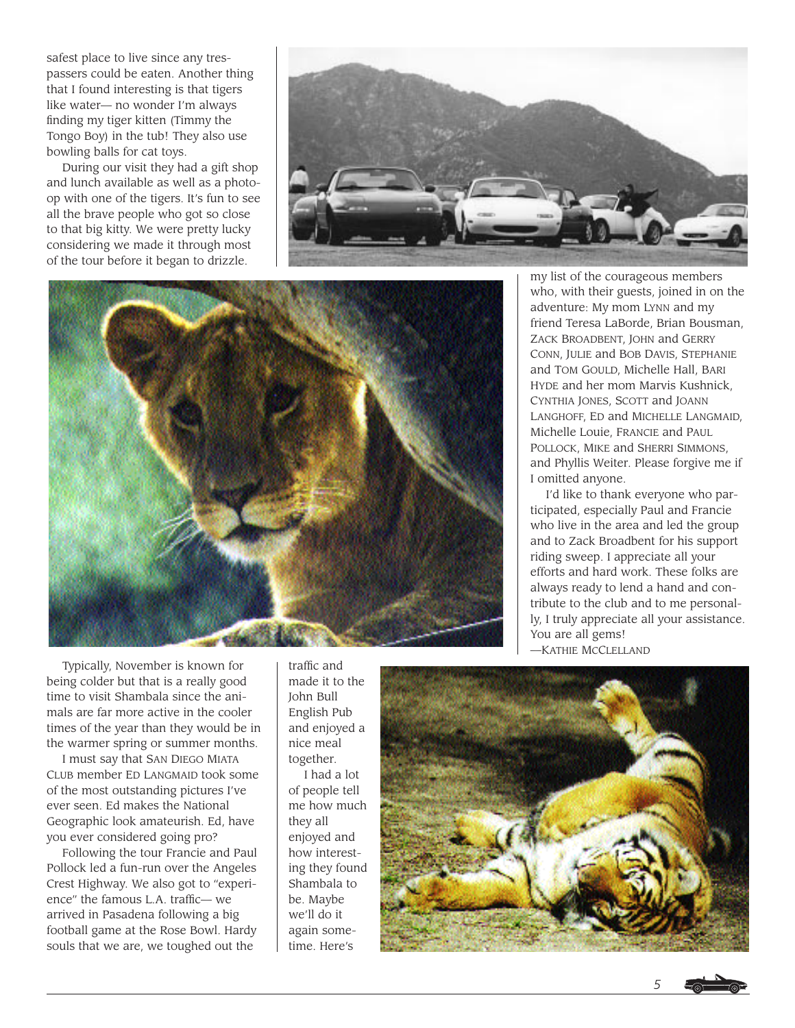safest place to live since any trespassers could be eaten. Another thing that I found interesting is that tigers like water— no wonder I'm always finding my tiger kitten (Timmy the Tongo Boy) in the tub! They also use bowling balls for cat toys.

During our visit they had a gift shop and lunch available as well as a photoop with one of the tigers. It's fun to see all the brave people who got so close to that big kitty. We were pretty lucky considering we made it through most of the tour before it began to drizzle.





my list of the courageous members who, with their guests, joined in on the adventure: My mom LYNN and my friend Teresa LaBorde, Brian Bousman, ZACK BROADBENT, JOHN and GERRY CONN, JULIE and BOB DAVIS, STEPHANIE and TOM GOULD, Michelle Hall, BARI HYDE and her mom Marvis Kushnick, CYNTHIA JONES, SCOTT and JOANN LANGHOFF, ED and MICHELLE LANGMAID, Michelle Louie, FRANCIE and PAUL POLLOCK, MIKE and SHERRI SIMMONS, and Phyllis Weiter. Please forgive me if I omitted anyone.

I'd like to thank everyone who participated, especially Paul and Francie who live in the area and led the group and to Zack Broadbent for his support riding sweep. I appreciate all your efforts and hard work. These folks are always ready to lend a hand and contribute to the club and to me personally, I truly appreciate all your assistance. You are all gems!

—KATHIE MCCLELLAND

Typically, November is known for being colder but that is a really good time to visit Shambala since the animals are far more active in the cooler times of the year than they would be in the warmer spring or summer months.

I must say that SAN DIEGO MIATA CLUB member ED LANGMAID took some of the most outstanding pictures I've ever seen. Ed makes the National Geographic look amateurish. Ed, have you ever considered going pro?

Following the tour Francie and Paul Pollock led a fun-run over the Angeles Crest Highway. We also got to "experience" the famous L.A. traffic— we arrived in Pasadena following a big football game at the Rose Bowl. Hardy souls that we are, we toughed out the

traffic and made it to the John Bull English Pub and enjoyed a nice meal together.

I had a lot of people tell me how much they all enjoyed and how interesting they found Shambala to be. Maybe we'll do it again sometime. Here's

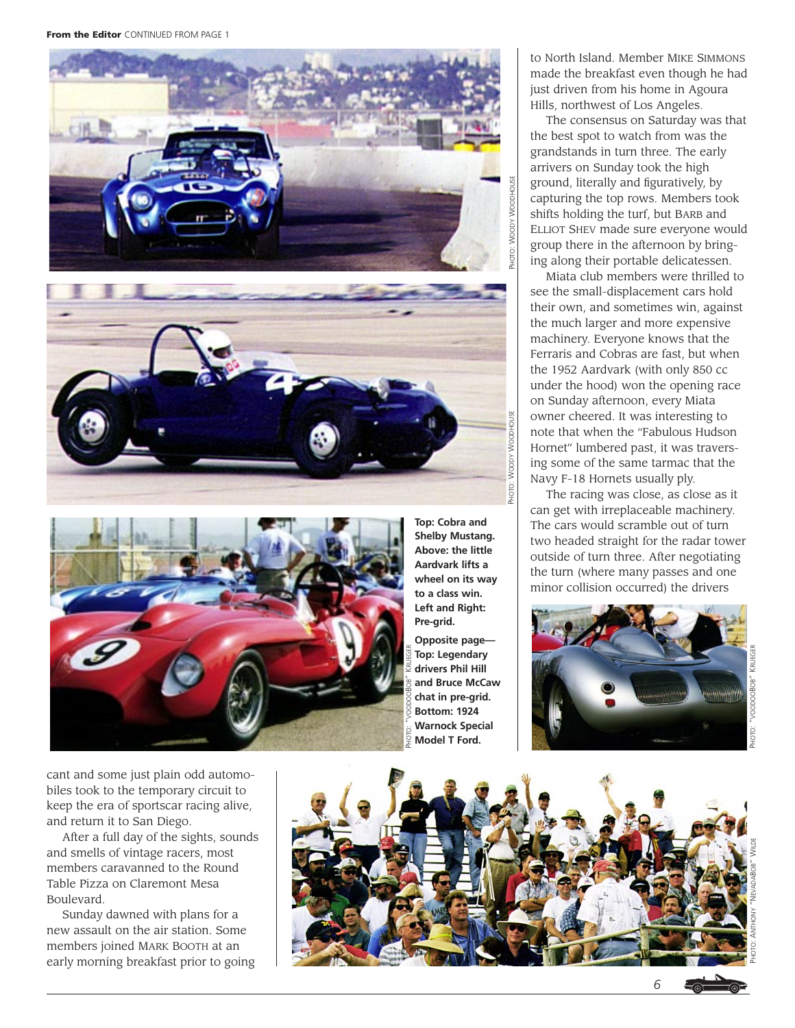From the Editor CONTINUED FROM PAGE 1





**Top: Cobra and Shelby Mustang. Above: the little Aardvark lifts a wheel on its way to a class win. Left and Right: Pre-grid. Opposite page—**

**Top: Legendary drivers Phil Hill and Bruce McCaw chat in pre-grid. Bottom: 1924 Warnock Special Model T Ford.**

to North Island. Member MIKE SIMMONS made the breakfast even though he had just driven from his home in Agoura Hills, northwest of Los Angeles.

The consensus on Saturday was that the best spot to watch from was the grandstands in turn three. The early arrivers on Sunday took the high ground, literally and figuratively, by capturing the top rows. Members took shifts holding the turf, but BARB and ELLIOT SHEV made sure everyone would group there in the afternoon by bringing along their portable delicatessen.

Miata club members were thrilled to see the small-displacement cars hold their own, and sometimes win, against the much larger and more expensive machinery. Everyone knows that the Ferraris and Cobras are fast, but when the 1952 Aardvark (with only 850 cc under the hood) won the opening race on Sunday afternoon, every Miata owner cheered. It was interesting to note that when the "Fabulous Hudson Hornet" lumbered past, it was traversing some of the same tarmac that the Navy F-18 Hornets usually ply.

The racing was close, as close as it can get with irreplaceable machinery. The cars would scramble out of turn two headed straight for the radar tower outside of turn three. After negotiating the turn (where many passes and one minor collision occurred) the drivers



PHOTO: "VOODOOBOB" KRUEGER

cant and some just plain odd automobiles took to the temporary circuit to keep the era of sportscar racing alive, and return it to San Diego.

After a full day of the sights, sounds and smells of vintage racers, most members caravanned to the Round Table Pizza on Claremont Mesa Boulevard.

Sunday dawned with plans for a new assault on the air station. Some members joined MARK BOOTH at an early morning breakfast prior to going

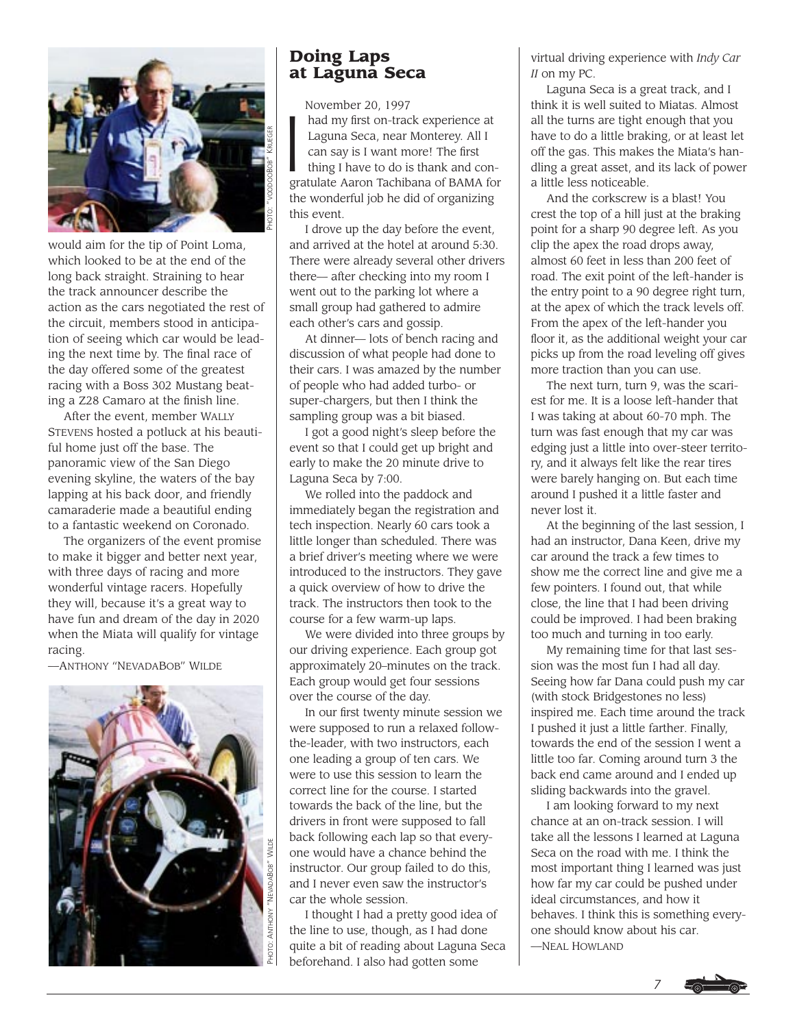

would aim for the tip of Point Loma, which looked to be at the end of the long back straight. Straining to hear the track announcer describe the action as the cars negotiated the rest of the circuit, members stood in anticipation of seeing which car would be leading the next time by. The final race of the day offered some of the greatest racing with a Boss 302 Mustang beating a Z28 Camaro at the finish line.

After the event, member WALLY STEVENS hosted a potluck at his beautiful home just off the base. The panoramic view of the San Diego evening skyline, the waters of the bay lapping at his back door, and friendly camaraderie made a beautiful ending to a fantastic weekend on Coronado.

The organizers of the event promise to make it bigger and better next year, with three days of racing and more wonderful vintage racers. Hopefully they will, because it's a great way to have fun and dream of the day in 2020 when the Miata will qualify for vintage racing.

—ANTHONY "NEVADABOB" WILDE



# **Doing Laps at Laguna Seca**

November 20, 1997

 $\begin{bmatrix} 1 \\ 1 \end{bmatrix}$ had my first on-track experience at Laguna Seca, near Monterey. All I can say is I want more! The first thing I have to do is thank and congratulate Aaron Tachibana of BAMA for the wonderful job he did of organizing this event.

I drove up the day before the event, and arrived at the hotel at around 5:30. There were already several other drivers there— after checking into my room I went out to the parking lot where a small group had gathered to admire each other's cars and gossip.

At dinner— lots of bench racing and discussion of what people had done to their cars. I was amazed by the number of people who had added turbo- or super-chargers, but then I think the sampling group was a bit biased.

I got a good night's sleep before the event so that I could get up bright and early to make the 20 minute drive to Laguna Seca by 7:00.

We rolled into the paddock and immediately began the registration and tech inspection. Nearly 60 cars took a little longer than scheduled. There was a brief driver's meeting where we were introduced to the instructors. They gave a quick overview of how to drive the track. The instructors then took to the course for a few warm-up laps.

We were divided into three groups by our driving experience. Each group got approximately 20–minutes on the track. Each group would get four sessions over the course of the day.

In our first twenty minute session we were supposed to run a relaxed followthe-leader, with two instructors, each one leading a group of ten cars. We were to use this session to learn the correct line for the course. I started towards the back of the line, but the drivers in front were supposed to fall back following each lap so that everyone would have a chance behind the instructor. Our group failed to do this, and I never even saw the instructor's car the whole session.

I thought I had a pretty good idea of the line to use, though, as I had done quite a bit of reading about Laguna Seca beforehand. I also had gotten some

virtual driving experience with *Indy Car II* on my PC.

Laguna Seca is a great track, and I think it is well suited to Miatas. Almost all the turns are tight enough that you have to do a little braking, or at least let off the gas. This makes the Miata's handling a great asset, and its lack of power a little less noticeable.

And the corkscrew is a blast! You crest the top of a hill just at the braking point for a sharp 90 degree left. As you clip the apex the road drops away, almost 60 feet in less than 200 feet of road. The exit point of the left-hander is the entry point to a 90 degree right turn, at the apex of which the track levels off. From the apex of the left-hander you floor it, as the additional weight your car picks up from the road leveling off gives more traction than you can use.

The next turn, turn 9, was the scariest for me. It is a loose left-hander that I was taking at about 60-70 mph. The turn was fast enough that my car was edging just a little into over-steer territory, and it always felt like the rear tires were barely hanging on. But each time around I pushed it a little faster and never lost it.

At the beginning of the last session, I had an instructor, Dana Keen, drive my car around the track a few times to show me the correct line and give me a few pointers. I found out, that while close, the line that I had been driving could be improved. I had been braking too much and turning in too early.

My remaining time for that last session was the most fun I had all day. Seeing how far Dana could push my car (with stock Bridgestones no less) inspired me. Each time around the track I pushed it just a little farther. Finally, towards the end of the session I went a little too far. Coming around turn 3 the back end came around and I ended up sliding backwards into the gravel.

I am looking forward to my next chance at an on-track session. I will take all the lessons I learned at Laguna Seca on the road with me. I think the most important thing I learned was just how far my car could be pushed under ideal circumstances, and how it behaves. I think this is something everyone should know about his car. —NEAL HOWLAND

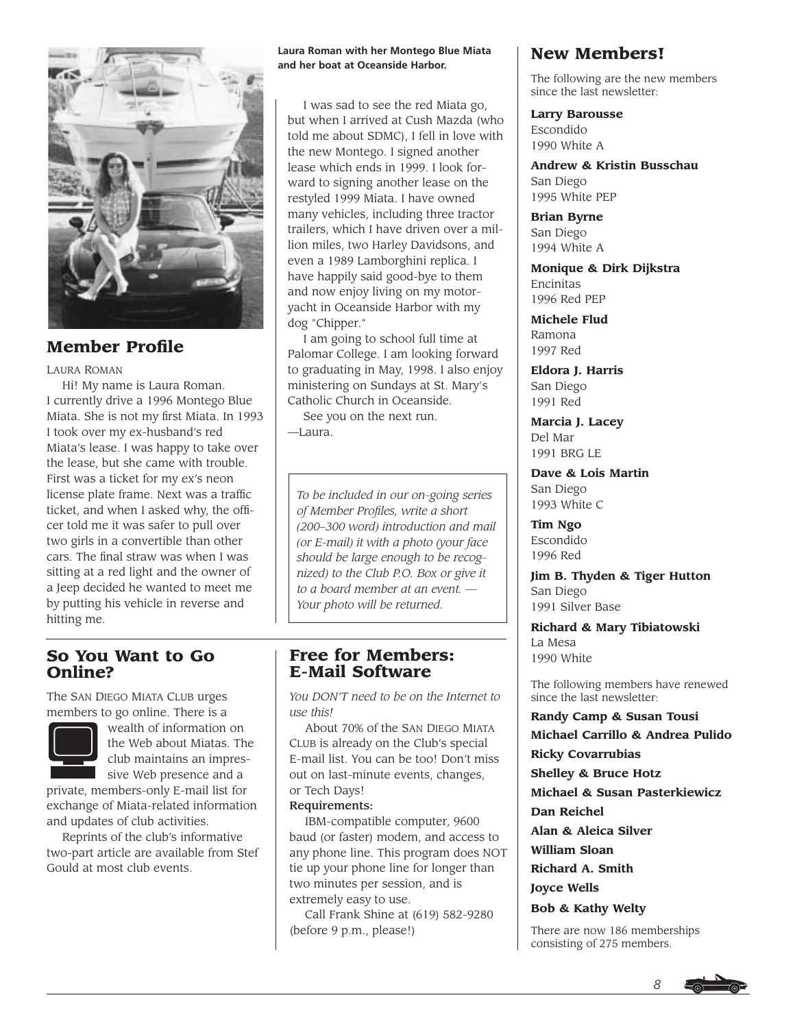

# **Member Profile**

### LAURA ROMAN

Hi! My name is Laura Roman. I currently drive a 1996 Montego Blue Miata. She is not my first Miata. In 1993 I took over my ex-husband's red Miata's lease. I was happy to take over the lease, but she came with trouble. First was a ticket for my ex's neon license plate frame. Next was a traffic ticket, and when I asked why, the officer told me it was safer to pull over two girls in a convertible than other cars. The final straw was when I was sitting at a red light and the owner of a Jeep decided he wanted to meet me by putting his vehicle in reverse and hitting me.

#### **Laura Roman with her Montego Blue Miata and her boat at Oceanside Harbor.**

I was sad to see the red Miata go, but when I arrived at Cush Mazda (who told me about SDMC), I fell in love with the new Montego. I signed another lease which ends in 1999. I look forward to signing another lease on the restyled 1999 Miata. I have owned many vehicles, including three tractor trailers, which I have driven over a million miles, two Harley Davidsons, and even a 1989 Lamborghini replica. I have happily said good-bye to them and now enjoy living on my motoryacht in Oceanside Harbor with my dog "Chipper."

I am going to school full time at Palomar College. I am looking forward to graduating in May, 1998. I also enjoy ministering on Sundays at St. Mary's Catholic Church in Oceanside.

See you on the next run.  $-$ Laura

*To be included in our on-going series of Member Profiles, write a short (200–300 word) introduction and mail (or E-mail) it with a photo (your face should be large enough to be recognized) to the Club P.O. Box or give it to a board member at an event. — Your photo will be returned.*

# **So You Want to Go Online?**

The SAN DIEGO MIATA CLUB urges members to go online. There is a



wealth of information on the Web about Miatas. The club maintains an impressive Web presence and a

private, members-only E-mail list for exchange of Miata-related information and updates of club activities.

Reprints of the club's informative two-part article are available from Stef Gould at most club events.

# **Free for Members: E-Mail Software**

*You DON'T need to be on the Internet to use this!* 

About 70% of the SAN DIEGO MIATA CLUB is already on the Club's special E-mail list. You can be too! Don't miss out on last-minute events, changes, or Tech Days!

## Requirements:

IBM-compatible computer, 9600 baud (or faster) modem, and access to any phone line. This program does NOT tie up your phone line for longer than two minutes per session, and is extremely easy to use.

Call Frank Shine at (619) 582-9280 (before 9 p.m., please!)

# **New Members!**

The following are the new members since the last newsletter:

## **Larry Barousse**

Escondido 1990 White A

**Andrew & Kristin Busschau** San Diego 1995 White PEP

**Brian Byrne** San Diego 1994 White A

**Monique & Dirk Dijkstra** Encinitas 1996 Red PEP

**Michele Flud** Ramona 1997 Red

**Eldora J. Harris** San Diego 1991 Red

**Marcia J. Lacey** Del Mar 1991 BRG LE

**Dave & Lois Martin** San Diego 1993 White C

**Tim Ngo** Escondido 1996 Red

**Jim B. Thyden & Tiger Hutton** San Diego 1991 Silver Base

**Richard & Mary Tibiatowski** La Mesa 1990 White

The following members have renewed since the last newsletter:

### **Randy Camp & Susan Tousi**

**Michael Carrillo & Andrea Pulido Ricky Covarrubias Shelley & Bruce Hotz**

**Michael & Susan Pasterkiewicz**

**Dan Reichel**

**Alan & Aleica Silver**

**William Sloan**

**Richard A. Smith**

**Joyce Wells**

**Bob & Kathy Welty**

There are now 186 memberships consisting of 275 members.